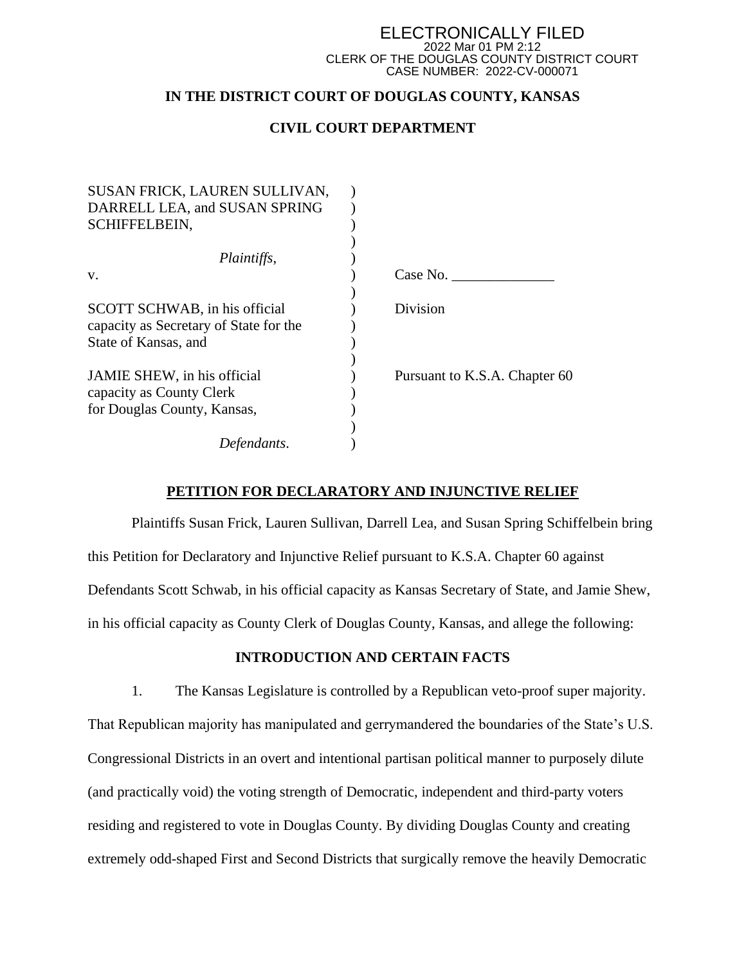#### ELECTRONICALLY FILED 2022 Mar 01 PM 2:12 CLERK OF THE DOUGLAS COUNTY DISTRICT COURT CASE NUMBER: 2022-CV-000071

# **IN THE DISTRICT COURT OF DOUGLAS COUNTY, KANSAS**

# **CIVIL COURT DEPARTMENT**

| SUSAN FRICK, LAUREN SULLIVAN,          |                               |
|----------------------------------------|-------------------------------|
| DARRELL LEA, and SUSAN SPRING          |                               |
| <b>SCHIFFELBEIN,</b>                   |                               |
|                                        |                               |
| Plaintiffs,                            |                               |
| V.                                     | Case No.                      |
| SCOTT SCHWAB, in his official          | Division                      |
| capacity as Secretary of State for the |                               |
| State of Kansas, and                   |                               |
|                                        |                               |
| JAMIE SHEW, in his official            | Pursuant to K.S.A. Chapter 60 |
| capacity as County Clerk               |                               |
| for Douglas County, Kansas,            |                               |
|                                        |                               |
| Defendants.                            |                               |
|                                        |                               |

## **PETITION FOR DECLARATORY AND INJUNCTIVE RELIEF**

Plaintiffs Susan Frick, Lauren Sullivan, Darrell Lea, and Susan Spring Schiffelbein bring this Petition for Declaratory and Injunctive Relief pursuant to K.S.A. Chapter 60 against Defendants Scott Schwab, in his official capacity as Kansas Secretary of State, and Jamie Shew, in his official capacity as County Clerk of Douglas County, Kansas, and allege the following:

# **INTRODUCTION AND CERTAIN FACTS**

1. The Kansas Legislature is controlled by a Republican veto-proof super majority. That Republican majority has manipulated and gerrymandered the boundaries of the State's U.S. Congressional Districts in an overt and intentional partisan political manner to purposely dilute (and practically void) the voting strength of Democratic, independent and third-party voters residing and registered to vote in Douglas County. By dividing Douglas County and creating extremely odd-shaped First and Second Districts that surgically remove the heavily Democratic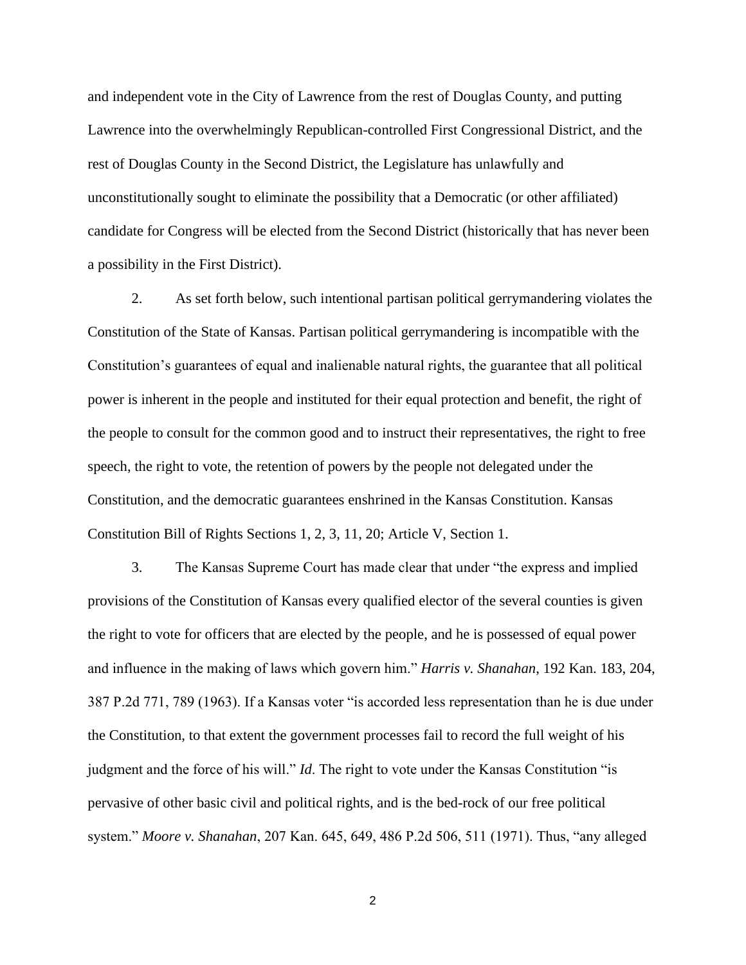and independent vote in the City of Lawrence from the rest of Douglas County, and putting Lawrence into the overwhelmingly Republican-controlled First Congressional District, and the rest of Douglas County in the Second District, the Legislature has unlawfully and unconstitutionally sought to eliminate the possibility that a Democratic (or other affiliated) candidate for Congress will be elected from the Second District (historically that has never been a possibility in the First District).

2. As set forth below, such intentional partisan political gerrymandering violates the Constitution of the State of Kansas. Partisan political gerrymandering is incompatible with the Constitution's guarantees of equal and inalienable natural rights, the guarantee that all political power is inherent in the people and instituted for their equal protection and benefit, the right of the people to consult for the common good and to instruct their representatives, the right to free speech, the right to vote, the retention of powers by the people not delegated under the Constitution, and the democratic guarantees enshrined in the Kansas Constitution. Kansas Constitution Bill of Rights Sections 1, 2, 3, 11, 20; Article V, Section 1.

3. The Kansas Supreme Court has made clear that under "the express and implied provisions of the Constitution of Kansas every qualified elector of the several counties is given the right to vote for officers that are elected by the people, and he is possessed of equal power and influence in the making of laws which govern him." *Harris v. Shanahan*, 192 Kan. 183, 204, 387 P.2d 771, 789 (1963). If a Kansas voter "is accorded less representation than he is due under the Constitution, to that extent the government processes fail to record the full weight of his judgment and the force of his will." *Id*. The right to vote under the Kansas Constitution "is pervasive of other basic civil and political rights, and is the bed-rock of our free political system." *Moore v. Shanahan*, 207 Kan. 645, 649, 486 P.2d 506, 511 (1971). Thus, "any alleged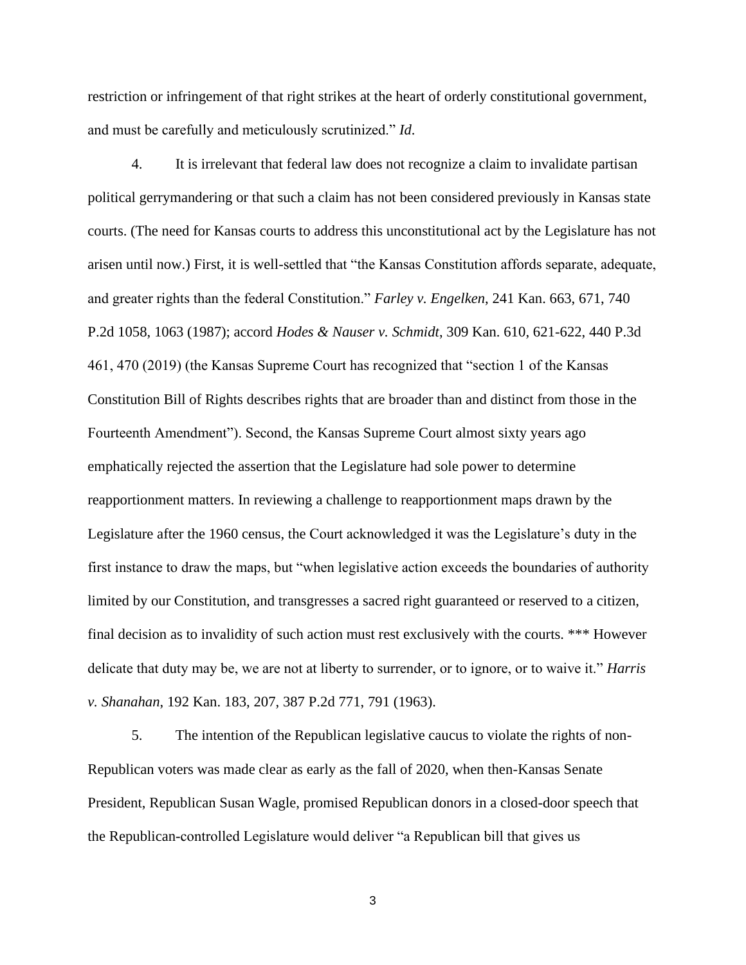restriction or infringement of that right strikes at the heart of orderly constitutional government, and must be carefully and meticulously scrutinized." *Id*.

4. It is irrelevant that federal law does not recognize a claim to invalidate partisan political gerrymandering or that such a claim has not been considered previously in Kansas state courts. (The need for Kansas courts to address this unconstitutional act by the Legislature has not arisen until now.) First, it is well-settled that "the Kansas Constitution affords separate, adequate, and greater rights than the federal Constitution." *Farley v. Engelken*, 241 Kan. 663, 671, 740 P.2d 1058, 1063 (1987); accord *Hodes & Nauser v. Schmidt*, 309 Kan. 610, 621-622, 440 P.3d 461, 470 (2019) (the Kansas Supreme Court has recognized that "section 1 of the Kansas Constitution Bill of Rights describes rights that are broader than and distinct from those in the Fourteenth Amendment"). Second, the Kansas Supreme Court almost sixty years ago emphatically rejected the assertion that the Legislature had sole power to determine reapportionment matters. In reviewing a challenge to reapportionment maps drawn by the Legislature after the 1960 census, the Court acknowledged it was the Legislature's duty in the first instance to draw the maps, but "when legislative action exceeds the boundaries of authority limited by our Constitution, and transgresses a sacred right guaranteed or reserved to a citizen, final decision as to invalidity of such action must rest exclusively with the courts. \*\*\* However delicate that duty may be, we are not at liberty to surrender, or to ignore, or to waive it." *Harris v. Shanahan*, 192 Kan. 183, 207, 387 P.2d 771, 791 (1963).

5. The intention of the Republican legislative caucus to violate the rights of non-Republican voters was made clear as early as the fall of 2020, when then-Kansas Senate President, Republican Susan Wagle, promised Republican donors in a closed-door speech that the Republican-controlled Legislature would deliver "a Republican bill that gives us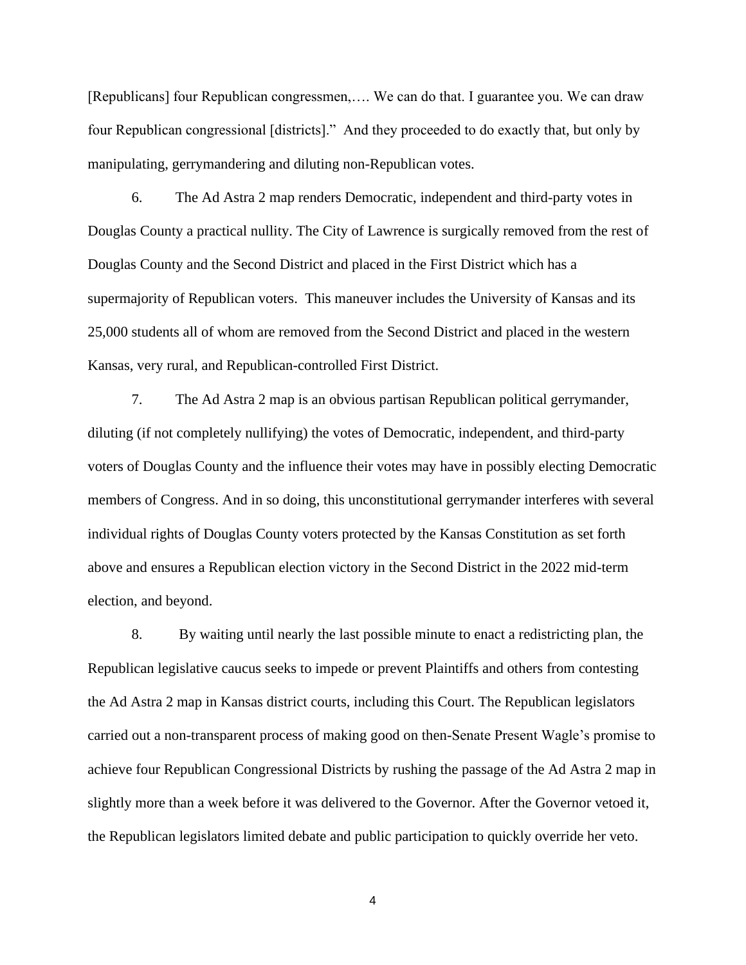[Republicans] four Republican congressmen,.... We can do that. I guarantee you. We can draw four Republican congressional [districts]." And they proceeded to do exactly that, but only by manipulating, gerrymandering and diluting non-Republican votes.

6. The Ad Astra 2 map renders Democratic, independent and third-party votes in Douglas County a practical nullity. The City of Lawrence is surgically removed from the rest of Douglas County and the Second District and placed in the First District which has a supermajority of Republican voters. This maneuver includes the University of Kansas and its 25,000 students all of whom are removed from the Second District and placed in the western Kansas, very rural, and Republican-controlled First District.

7. The Ad Astra 2 map is an obvious partisan Republican political gerrymander, diluting (if not completely nullifying) the votes of Democratic, independent, and third-party voters of Douglas County and the influence their votes may have in possibly electing Democratic members of Congress. And in so doing, this unconstitutional gerrymander interferes with several individual rights of Douglas County voters protected by the Kansas Constitution as set forth above and ensures a Republican election victory in the Second District in the 2022 mid-term election, and beyond.

8. By waiting until nearly the last possible minute to enact a redistricting plan, the Republican legislative caucus seeks to impede or prevent Plaintiffs and others from contesting the Ad Astra 2 map in Kansas district courts, including this Court. The Republican legislators carried out a non-transparent process of making good on then-Senate Present Wagle's promise to achieve four Republican Congressional Districts by rushing the passage of the Ad Astra 2 map in slightly more than a week before it was delivered to the Governor. After the Governor vetoed it, the Republican legislators limited debate and public participation to quickly override her veto.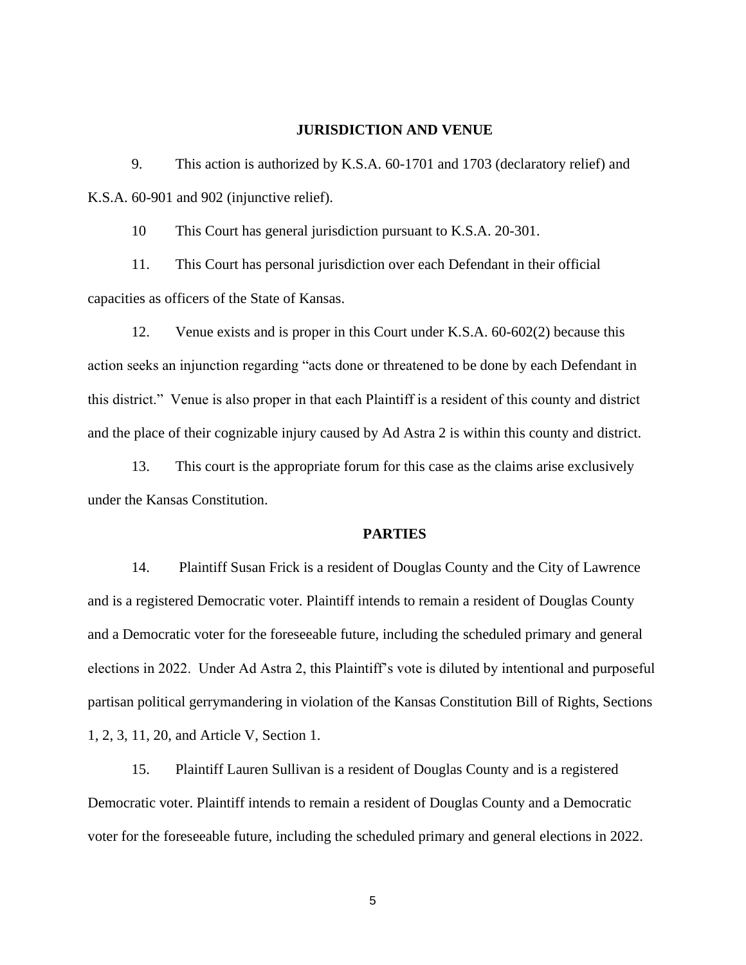#### **JURISDICTION AND VENUE**

9. This action is authorized by K.S.A. 60-1701 and 1703 (declaratory relief) and K.S.A. 60-901 and 902 (injunctive relief).

10 This Court has general jurisdiction pursuant to K.S.A. 20-301.

11. This Court has personal jurisdiction over each Defendant in their official capacities as officers of the State of Kansas.

12. Venue exists and is proper in this Court under K.S.A. 60-602(2) because this action seeks an injunction regarding "acts done or threatened to be done by each Defendant in this district." Venue is also proper in that each Plaintiff is a resident of this county and district and the place of their cognizable injury caused by Ad Astra 2 is within this county and district.

13. This court is the appropriate forum for this case as the claims arise exclusively under the Kansas Constitution.

### **PARTIES**

14. Plaintiff Susan Frick is a resident of Douglas County and the City of Lawrence and is a registered Democratic voter. Plaintiff intends to remain a resident of Douglas County and a Democratic voter for the foreseeable future, including the scheduled primary and general elections in 2022. Under Ad Astra 2, this Plaintiff's vote is diluted by intentional and purposeful partisan political gerrymandering in violation of the Kansas Constitution Bill of Rights, Sections 1, 2, 3, 11, 20, and Article V, Section 1.

15. Plaintiff Lauren Sullivan is a resident of Douglas County and is a registered Democratic voter. Plaintiff intends to remain a resident of Douglas County and a Democratic voter for the foreseeable future, including the scheduled primary and general elections in 2022.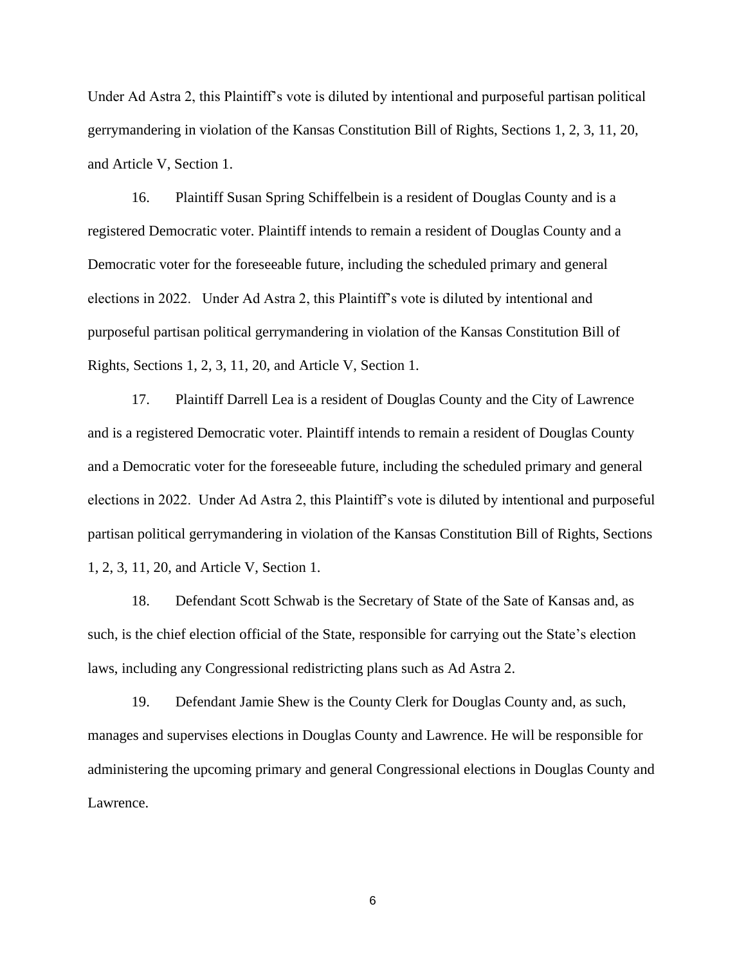Under Ad Astra 2, this Plaintiff's vote is diluted by intentional and purposeful partisan political gerrymandering in violation of the Kansas Constitution Bill of Rights, Sections 1, 2, 3, 11, 20, and Article V, Section 1.

16. Plaintiff Susan Spring Schiffelbein is a resident of Douglas County and is a registered Democratic voter. Plaintiff intends to remain a resident of Douglas County and a Democratic voter for the foreseeable future, including the scheduled primary and general elections in 2022. Under Ad Astra 2, this Plaintiff's vote is diluted by intentional and purposeful partisan political gerrymandering in violation of the Kansas Constitution Bill of Rights, Sections 1, 2, 3, 11, 20, and Article V, Section 1.

17. Plaintiff Darrell Lea is a resident of Douglas County and the City of Lawrence and is a registered Democratic voter. Plaintiff intends to remain a resident of Douglas County and a Democratic voter for the foreseeable future, including the scheduled primary and general elections in 2022. Under Ad Astra 2, this Plaintiff's vote is diluted by intentional and purposeful partisan political gerrymandering in violation of the Kansas Constitution Bill of Rights, Sections 1, 2, 3, 11, 20, and Article V, Section 1.

18. Defendant Scott Schwab is the Secretary of State of the Sate of Kansas and, as such, is the chief election official of the State, responsible for carrying out the State's election laws, including any Congressional redistricting plans such as Ad Astra 2.

19. Defendant Jamie Shew is the County Clerk for Douglas County and, as such, manages and supervises elections in Douglas County and Lawrence. He will be responsible for administering the upcoming primary and general Congressional elections in Douglas County and Lawrence.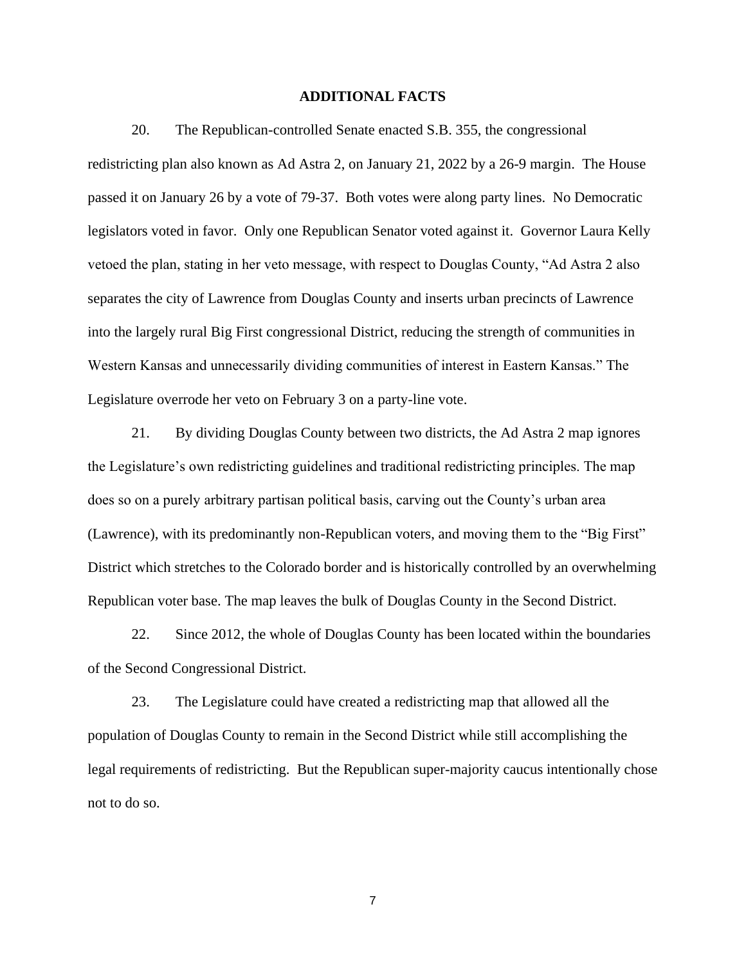### **ADDITIONAL FACTS**

20. The Republican-controlled Senate enacted S.B. 355, the congressional redistricting plan also known as Ad Astra 2, on January 21, 2022 by a 26-9 margin. The House passed it on January 26 by a vote of 79-37. Both votes were along party lines. No Democratic legislators voted in favor. Only one Republican Senator voted against it. Governor Laura Kelly vetoed the plan, stating in her veto message, with respect to Douglas County, "Ad Astra 2 also separates the city of Lawrence from Douglas County and inserts urban precincts of Lawrence into the largely rural Big First congressional District, reducing the strength of communities in Western Kansas and unnecessarily dividing communities of interest in Eastern Kansas." The Legislature overrode her veto on February 3 on a party-line vote.

21. By dividing Douglas County between two districts, the Ad Astra 2 map ignores the Legislature's own redistricting guidelines and traditional redistricting principles. The map does so on a purely arbitrary partisan political basis, carving out the County's urban area (Lawrence), with its predominantly non-Republican voters, and moving them to the "Big First" District which stretches to the Colorado border and is historically controlled by an overwhelming Republican voter base. The map leaves the bulk of Douglas County in the Second District.

22. Since 2012, the whole of Douglas County has been located within the boundaries of the Second Congressional District.

23. The Legislature could have created a redistricting map that allowed all the population of Douglas County to remain in the Second District while still accomplishing the legal requirements of redistricting. But the Republican super-majority caucus intentionally chose not to do so.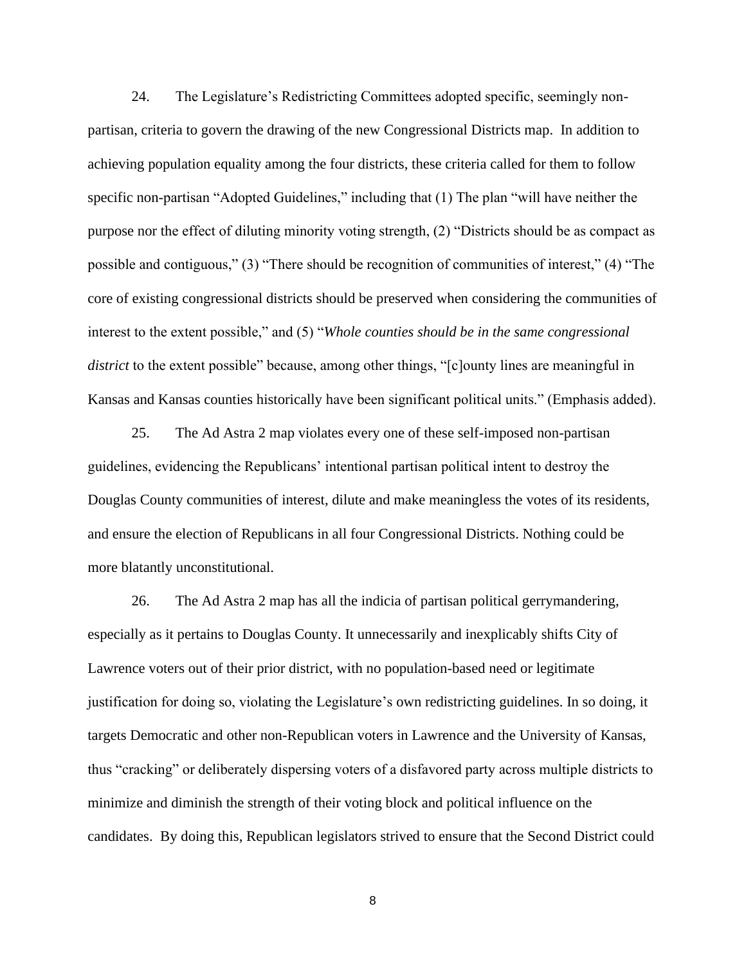24. The Legislature's Redistricting Committees adopted specific, seemingly nonpartisan, criteria to govern the drawing of the new Congressional Districts map. In addition to achieving population equality among the four districts, these criteria called for them to follow specific non-partisan "Adopted Guidelines," including that (1) The plan "will have neither the purpose nor the effect of diluting minority voting strength, (2) "Districts should be as compact as possible and contiguous," (3) "There should be recognition of communities of interest," (4) "The core of existing congressional districts should be preserved when considering the communities of interest to the extent possible," and (5) "*Whole counties should be in the same congressional district* to the extent possible" because, among other things, "[c]ounty lines are meaningful in Kansas and Kansas counties historically have been significant political units." (Emphasis added).

25. The Ad Astra 2 map violates every one of these self-imposed non-partisan guidelines, evidencing the Republicans' intentional partisan political intent to destroy the Douglas County communities of interest, dilute and make meaningless the votes of its residents, and ensure the election of Republicans in all four Congressional Districts. Nothing could be more blatantly unconstitutional.

26. The Ad Astra 2 map has all the indicia of partisan political gerrymandering, especially as it pertains to Douglas County. It unnecessarily and inexplicably shifts City of Lawrence voters out of their prior district, with no population-based need or legitimate justification for doing so, violating the Legislature's own redistricting guidelines. In so doing, it targets Democratic and other non-Republican voters in Lawrence and the University of Kansas, thus "cracking" or deliberately dispersing voters of a disfavored party across multiple districts to minimize and diminish the strength of their voting block and political influence on the candidates. By doing this, Republican legislators strived to ensure that the Second District could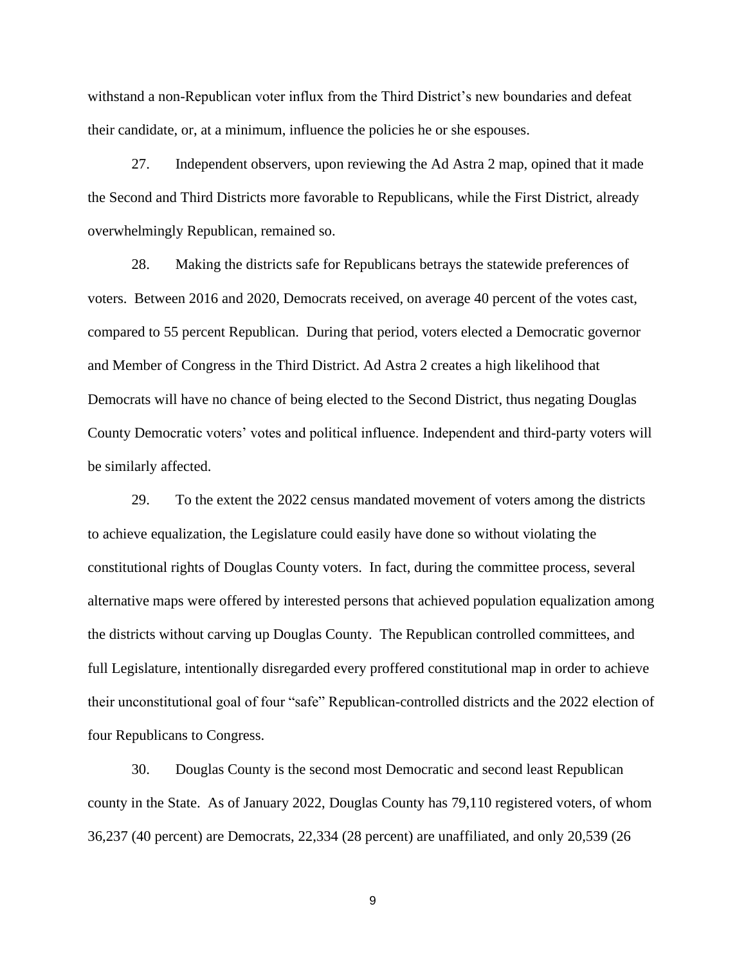withstand a non-Republican voter influx from the Third District's new boundaries and defeat their candidate, or, at a minimum, influence the policies he or she espouses.

27. Independent observers, upon reviewing the Ad Astra 2 map, opined that it made the Second and Third Districts more favorable to Republicans, while the First District, already overwhelmingly Republican, remained so.

28. Making the districts safe for Republicans betrays the statewide preferences of voters. Between 2016 and 2020, Democrats received, on average 40 percent of the votes cast, compared to 55 percent Republican. During that period, voters elected a Democratic governor and Member of Congress in the Third District. Ad Astra 2 creates a high likelihood that Democrats will have no chance of being elected to the Second District, thus negating Douglas County Democratic voters' votes and political influence. Independent and third-party voters will be similarly affected.

29. To the extent the 2022 census mandated movement of voters among the districts to achieve equalization, the Legislature could easily have done so without violating the constitutional rights of Douglas County voters. In fact, during the committee process, several alternative maps were offered by interested persons that achieved population equalization among the districts without carving up Douglas County. The Republican controlled committees, and full Legislature, intentionally disregarded every proffered constitutional map in order to achieve their unconstitutional goal of four "safe" Republican-controlled districts and the 2022 election of four Republicans to Congress.

30. Douglas County is the second most Democratic and second least Republican county in the State. As of January 2022, Douglas County has 79,110 registered voters, of whom 36,237 (40 percent) are Democrats, 22,334 (28 percent) are unaffiliated, and only 20,539 (26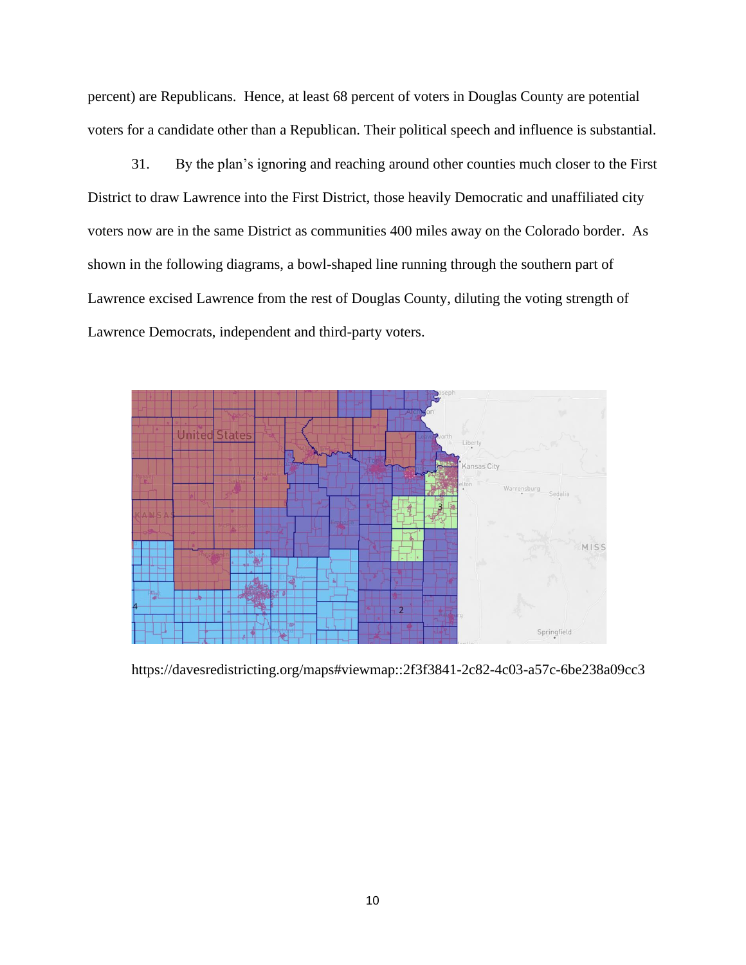percent) are Republicans. Hence, at least 68 percent of voters in Douglas County are potential voters for a candidate other than a Republican. Their political speech and influence is substantial.

31. By the plan's ignoring and reaching around other counties much closer to the First District to draw Lawrence into the First District, those heavily Democratic and unaffiliated city voters now are in the same District as communities 400 miles away on the Colorado border. As shown in the following diagrams, a bowl-shaped line running through the southern part of Lawrence excised Lawrence from the rest of Douglas County, diluting the voting strength of Lawrence Democrats, independent and third-party voters.



https://davesredistricting.org/maps#viewmap::2f3f3841-2c82-4c03-a57c-6be238a09cc3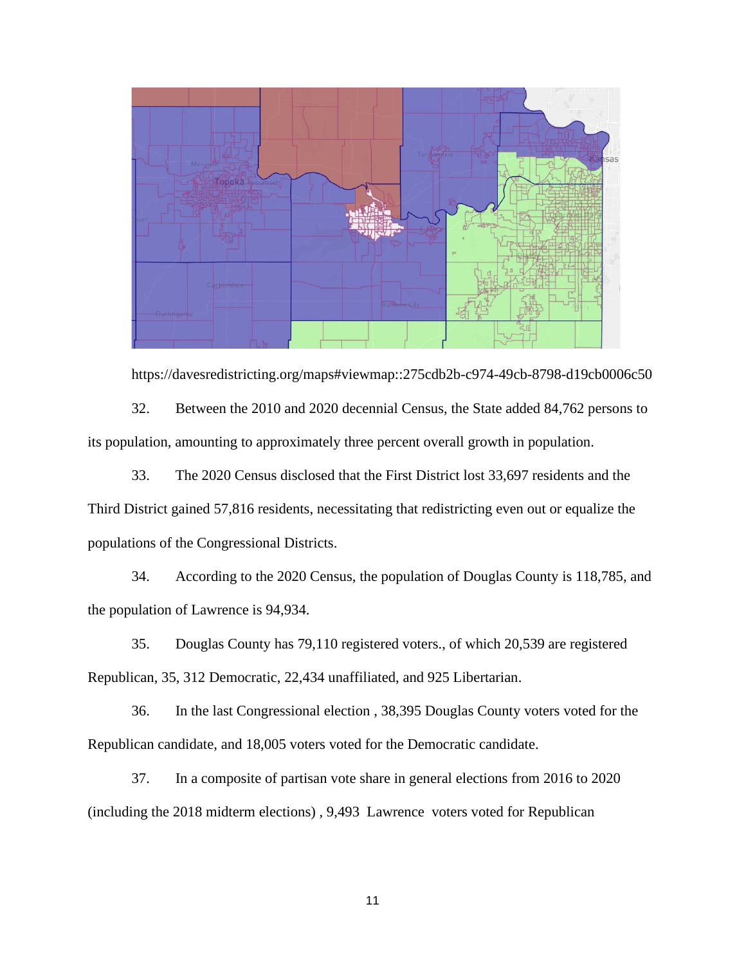

https://davesredistricting.org/maps#viewmap::275cdb2b-c974-49cb-8798-d19cb0006c50 32. Between the 2010 and 2020 decennial Census, the State added 84,762 persons to its population, amounting to approximately three percent overall growth in population.

33. The 2020 Census disclosed that the First District lost 33,697 residents and the Third District gained 57,816 residents, necessitating that redistricting even out or equalize the populations of the Congressional Districts.

34. According to the 2020 Census, the population of Douglas County is 118,785, and the population of Lawrence is 94,934.

35. Douglas County has 79,110 registered voters., of which 20,539 are registered Republican, 35, 312 Democratic, 22,434 unaffiliated, and 925 Libertarian.

36. In the last Congressional election , 38,395 Douglas County voters voted for the Republican candidate, and 18,005 voters voted for the Democratic candidate.

37. In a composite of partisan vote share in general elections from 2016 to 2020 (including the 2018 midterm elections) , 9,493 Lawrence voters voted for Republican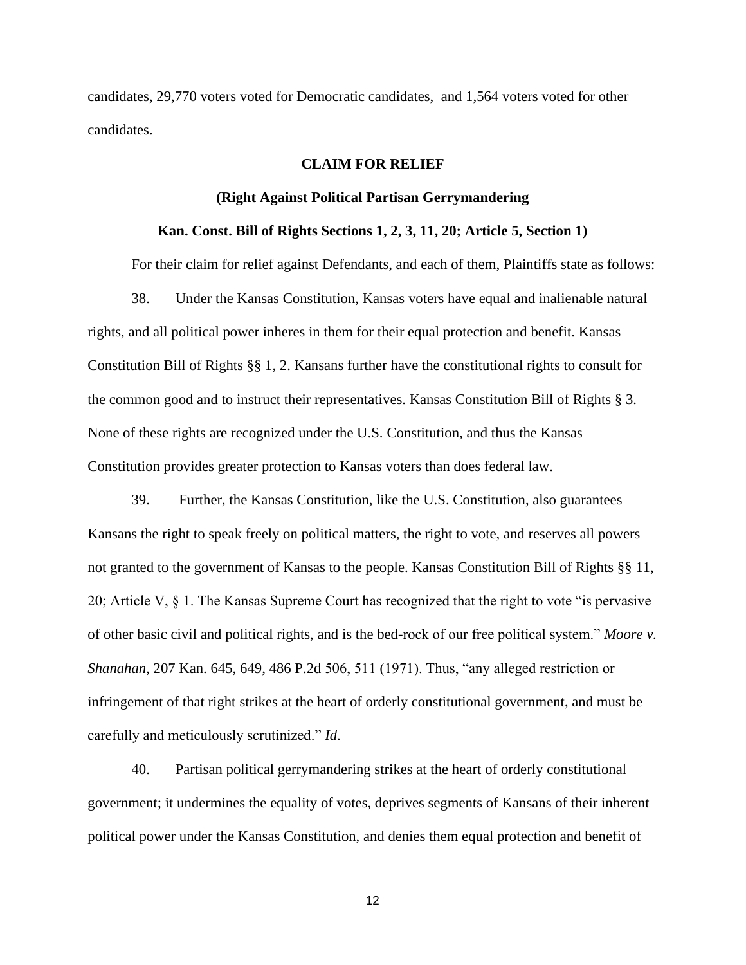candidates, 29,770 voters voted for Democratic candidates, and 1,564 voters voted for other candidates.

### **CLAIM FOR RELIEF**

#### **(Right Against Political Partisan Gerrymandering**

### **Kan. Const. Bill of Rights Sections 1, 2, 3, 11, 20; Article 5, Section 1)**

For their claim for relief against Defendants, and each of them, Plaintiffs state as follows: 38. Under the Kansas Constitution, Kansas voters have equal and inalienable natural rights, and all political power inheres in them for their equal protection and benefit. Kansas Constitution Bill of Rights §§ 1, 2. Kansans further have the constitutional rights to consult for the common good and to instruct their representatives. Kansas Constitution Bill of Rights § 3. None of these rights are recognized under the U.S. Constitution, and thus the Kansas Constitution provides greater protection to Kansas voters than does federal law.

39. Further, the Kansas Constitution, like the U.S. Constitution, also guarantees Kansans the right to speak freely on political matters, the right to vote, and reserves all powers not granted to the government of Kansas to the people. Kansas Constitution Bill of Rights §§ 11, 20; Article V, § 1. The Kansas Supreme Court has recognized that the right to vote "is pervasive of other basic civil and political rights, and is the bed-rock of our free political system." *Moore v. Shanahan*, 207 Kan. 645, 649, 486 P.2d 506, 511 (1971). Thus, "any alleged restriction or infringement of that right strikes at the heart of orderly constitutional government, and must be carefully and meticulously scrutinized." *Id*.

40. Partisan political gerrymandering strikes at the heart of orderly constitutional government; it undermines the equality of votes, deprives segments of Kansans of their inherent political power under the Kansas Constitution, and denies them equal protection and benefit of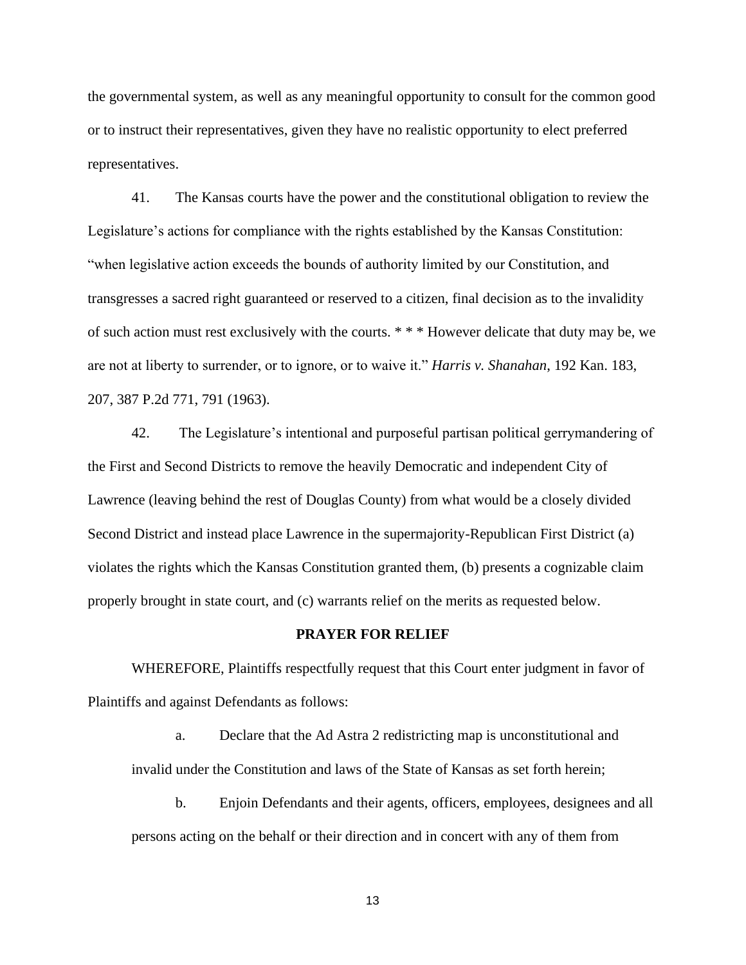the governmental system, as well as any meaningful opportunity to consult for the common good or to instruct their representatives, given they have no realistic opportunity to elect preferred representatives.

41. The Kansas courts have the power and the constitutional obligation to review the Legislature's actions for compliance with the rights established by the Kansas Constitution: "when legislative action exceeds the bounds of authority limited by our Constitution, and transgresses a sacred right guaranteed or reserved to a citizen, final decision as to the invalidity of such action must rest exclusively with the courts. \* \* \* However delicate that duty may be, we are not at liberty to surrender, or to ignore, or to waive it." *Harris v. Shanahan*, 192 Kan. 183, 207, 387 P.2d 771, 791 (1963).

42. The Legislature's intentional and purposeful partisan political gerrymandering of the First and Second Districts to remove the heavily Democratic and independent City of Lawrence (leaving behind the rest of Douglas County) from what would be a closely divided Second District and instead place Lawrence in the supermajority-Republican First District (a) violates the rights which the Kansas Constitution granted them, (b) presents a cognizable claim properly brought in state court, and (c) warrants relief on the merits as requested below.

#### **PRAYER FOR RELIEF**

WHEREFORE, Plaintiffs respectfully request that this Court enter judgment in favor of Plaintiffs and against Defendants as follows:

a. Declare that the Ad Astra 2 redistricting map is unconstitutional and invalid under the Constitution and laws of the State of Kansas as set forth herein;

b. Enjoin Defendants and their agents, officers, employees, designees and all persons acting on the behalf or their direction and in concert with any of them from